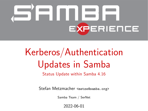# <span id="page-0-0"></span>**EXPERIENCE**

# Kerberos/Authentication Updates in Samba

Status Update within Samba 4.16

Stefan Metzmacher <metze@samba.org>

Samba Team / SerNet

2022-06-01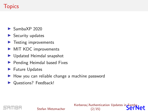# **Topics**

- $\blacktriangleright$  SambaXP 2020
- ▶ Security updates
- ▶ Testing improvements
- ▶ MIT KDC improvements
- ▶ Updated Heimdal snapshot
- ▶ Pending Heimdal based Fixes
- ▶ Future Updates
- ▶ How you can reliable change a machine password
- ▶ Questions? Feedback!

#### Kerberos/Authentication Updates in Samb  $(2/15)$

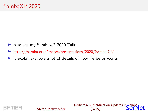- ▶ Also see my SambaXP 2020 Talk
- ▶ [https://samba.org/˜metze/presentations/2020/SambaXP/](https://samba.org/~metze/presentations/2020/SambaXP/)
- ▶ It explains/shows a lot of details of how Kerberos works



Stefan Metzmacher

[Kerberos/Authentication Updates in Samba](#page-0-0) let (3/15)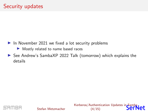- ▶ In November 2021 we fixed a lot security problems
	- ▶ Mostly related to name based races
- ▶ See Andrew's SambaXP 2022 Talk (tomorrow) which explains the details



[Kerberos/Authentication Updates in Samba](#page-0-0) let  $(4/15)$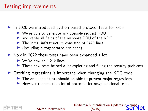#### Testing improvements

▶ In 2020 we introduced python based protocol tests for krb5

- ▶ We're able to generate any possible request PDU
- ▶ and verify all fields of the response PDU of the KDC
- $\triangleright$  The initial infrastructure consisted of 3498 lines
- ▶ (including autogenerated asn code)
- ▶ Now in 2022 these tests have been expanded a lot
	- $\triangleright$  We're now at  $\tilde{ }$  21k lines!
	- $\triangleright$  These new tests helped a lot exploring and fixing the security problems
- ▶ Catching regressions is important when changing the KDC code
	- ▶ The amount of tests should be able to prevent major regressions
	- $\blacktriangleright$  However there's still a lot of potential for new/additional tests

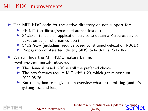# MIT KDC improvements

▶ The MIT-KDC code for the active directory dc got support for:

- ▶ PKINIT (certificate/smartcard authentication)
- ▶ S4U2Self (enable an application service to obtain a Kerberos service ticket on behalf of a named user)
- ▶ S4U2Proxy (including resource based constrained delegation RBCD)
- ▶ Propagation of Asserted Identity SIDS: S-1-18-1 vs. S-1-18-2
- ▶ We still hide the MIT-KDC feature behind '–with-experimental-mit-ad-dc'
	- $\blacktriangleright$  The Heimdal based KDC is still the preferred choice
	- ▶ The new features require MIT krb5 1.20, which got released on 2022-05-26
	- ▶ But the python tests give us an overview what's still missing (and it's getting less and less)

Kerberos/Authentication Updates in Samb  $(6/15)$ 

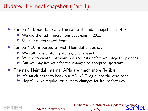# Updated Heimdal snapshot (Part 1)

▶ Samba 4.15 had basically the same Heimdal snapshot as 4.0

- ▶ We did the last import from upstream in 2011
- ▶ Only fixed important bugs
- ▶ Samba 4.16 imported a fresh Heimdal snapshot
	- $\triangleright$  We still have custom patches, but rebased
	- ▶ We try to create upstream pull requests before we integrate patches
	- ▶ But we may not wait for the changes to accepted upstream
- $\blacktriangleright$  The new Heimdal internal APIs are much more flexible:
	- ▶ It's much easier to hook our AD KDC logic into the core code
	- ▶ Hopefully we require less custom changes for future features

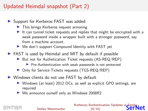# Updated Heimdal snapshot (Part 2)

- ▶ Support for Kerberos FAST was added:
	- ▶ This brings Kerberos request armoring
	- ▶ It can tunnel ticket requests and replies that might be encrypted with a weak password inside a wrapper built with a stronger password, say from a machine account.
	- ▶ We don't support Compound Identity with FAST yet
- ▶ FAST is used by Heimdal and MIT by default if possible
	- ▶ But not for Authetication Ticket requests (AS-REQ/REP)
		- ▶ Pre-Authentication with weak passwords is not protected
	- ▶ Only for Service-Tickets requests (TGS-REQ/REP)
- ▶ Windows clients do not use FAST by default

Stefan Metzmacher

- ▶ Windows (at least) 2012 DCs, as well as explicit GPO settings, are required
- ▶ We announce ourself only as Windows 2008R2

Kerberos/Authentication Updates in Samb (8/15)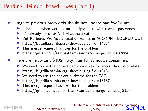## Pending Heimdal based Fixes (Part 1)

- ▶ Usage of previous passwords should not update badPwdCount
	- ▶ It happens when working on multiple hosts with cached passwords
	- ▶ It's already fixed for NTLM authentication
	- ▶ But Kerberos Pre-Authentication results in ACCOUNT LOCKED OUT
	- $\blacktriangleright$  [https://bugzilla.samba.org/show](https://bugzilla.samba.org/show_bug.cgi?id=14054)\_bug.cgi?id=14054
	- $\blacktriangleright$  This merge request has fixes for the problem
	- ▶ [https://gitlab.com/samba-team/samba/-/merge](https://gitlab.com/samba-team/samba/-/merge_requests/664)\_requests/664
- ▶ There are important S4U2Proxy fixes for Windows consumers
	- ▶ We need to use the correct decryption key for enc-authorization-data
	- $\blacktriangleright$  [https://bugzilla.samba.org/show](https://bugzilla.samba.org/show_bug.cgi?id=13131)\_bug.cgi?id=13131
	- ▶ We need to use the correct authtime for the PAC
	- $\blacktriangleright$  [https://bugzilla.samba.org/show](https://bugzilla.samba.org/show_bug.cgi?id=13137)\_bug.cgi?id=13137
	- ▶ This merge request has fixes for the problem
	- $\triangleright$  [https://gitlab.com/samba-team/samba/-/merge](https://gitlab.com/samba-team/samba/-/merge_requests/2458)\_requests/2458

Kerberos/Authentication Updates in Samb  $(9/15)$ 

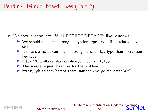# Pending Heimdal based Fixes (Part 2)

#### ▶ We should announce PA-SUPPORTED-ETYPES like windows:

- ▶ We should announce strong encryption types, even if no related key is stored
- ▶ It means a ticket can have a stronger session key type than decryption key type
- $\blacktriangleright$  [https://bugzilla.samba.org/show](https://bugzilla.samba.org/show_bug.cgi?id=13135)\_bug.cgi?id=13135
- ▶ This merge request has fixes for the problem
- ▶ [https://gitlab.com/samba-team/samba/-/merge](https://gitlab.com/samba-team/samba/-/merge_requests/2459) requests/2459



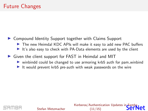- ▶ Compound Identity Support together with Claims Support
	- ▶ The new Heimdal KDC APIs will make it easy to add new PAC buffers
	- ▶ It's also easy to check with PA-Data elements are used by the client
- ▶ Given the client support for FAST in Heimdal and MIT
	- ▶ winbindd could be changed to use armoring krb5 auth for pam\_winbind
	- ▶ It would prevent krb5 pre-auth with weak passwords on the wire



Kerberos/Authentication Updates in Samb (11/15)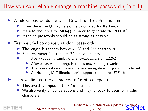# How you can reliable change a machine password (Part 1)

- ▶ Windows passwords are UTF-16 with up to 255 characters
	- $\triangleright$  From there the UTF-8 version is calculated for Kerberos
	- $\triangleright$  It's also the input for MD4() in order to generate the NTHASH
	- $\triangleright$  Machine passwords should be as strong as possible
- ▶ First we tried completely random passwords:
	- ▶ The length is random between 128 and 255 characters
	- $\blacktriangleright$  Each character is a random 32-bit codepoints
	- $\blacktriangleright$  =>[https://bugzilla.samba.org/show](https://bugzilla.samba.org/show_bug.cgi?id=12262)\_bug.cgi?id=12262
		- ▶ After a password change Kerberos may no longer works
		- ▶ The conversation of passwords was wrong depending on 'unix charset'
		- ▶ As Heimdal/MIT libraries don't support compound UTF-16
- $\blacktriangleright$  Then we limited the characters to 16-bit codepoints
	- ▶ This avoids compound UTF-16 characters
	- ▶ We also verify all conversations and may fallback to ascii for invalid characters

#### Kerberos/Authentication Updates in Sambi  $(12/15)$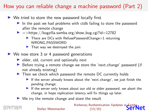# How you can reliable change a machine password (Part 2)

- $\triangleright$  We tried to store the new password locally first
	- $\blacktriangleright$  In the past we had problems with ctdb failing to store the password after the remote change
	- $\blacktriangleright$  =>[https://bugzilla.samba.org/show](https://bugzilla.samba.org/show_bug.cgi?id=12782)\_bug.cgi?id=12782
		- $\blacktriangleright$  There are DCs with RefusePasswordChange=1 returning WRONG PASSWORD
		- $\blacktriangleright$  That way we destroyed the join
- $\triangleright$  We now store 3 or 4 password generations
	- $\triangleright$  older, old, current and optionally next
	- ▶ Before trying a remote change we store the 'next\_change' password (if not already existing)
	- ▶ Then we check which password the remote DC currently holds
		- ▶ If the server already knows about the 'next\_change', we just finish the pending change.
		- ▶ If the server only knows about our old or older password, we abort the change, in hope replication latency will fix things up later.
	- ▶ We try the remote change and store the result



#### Stefan Metzmacher

[Kerberos/Authentication Updates in Samba](#page-0-0)  $(13/15)$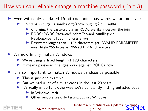# How you can reliable change a machine password (Part 3)

#### ▶ Even with only validated 16-bit codepoint passwords we are not safe

- $\blacktriangleright$  =>[https://bugzilla.samba.org/show](https://bugzilla.samba.org/show_bug.cgi?id=14984)\_bug.cgi?id=14984
	- ▶ Changing the password via an RODC we likely destroy the join
	- ▶ RODC/RWDC PasswordUpdateForward handling via NetrLogonSendToSam ignores errors
	- ▶ Passwords longer than ~ 127 characters get INVALID\_PARAMETER, most likely 256 bytes vs. 256 (UTF-16) characters
- ▶ We now finally match Windows
	- $\triangleright$  We're using a fixed length of 120 characters
	- ▶ It means password changes work against RODCs now
- ▶ It is so important to match Windows as close as possible
	- $\blacktriangleright$  This is just one example
	- $\triangleright$  But we had a lot of similar cases in the last 20 years
	- ▶ It's really important otherwise we're constantly hitting untested code
		- ▶ In Windows itself
		- ▶ Other vendors are only testing against Windows

Kerberos/Authentication Updates in Sambi  $(14/15)$